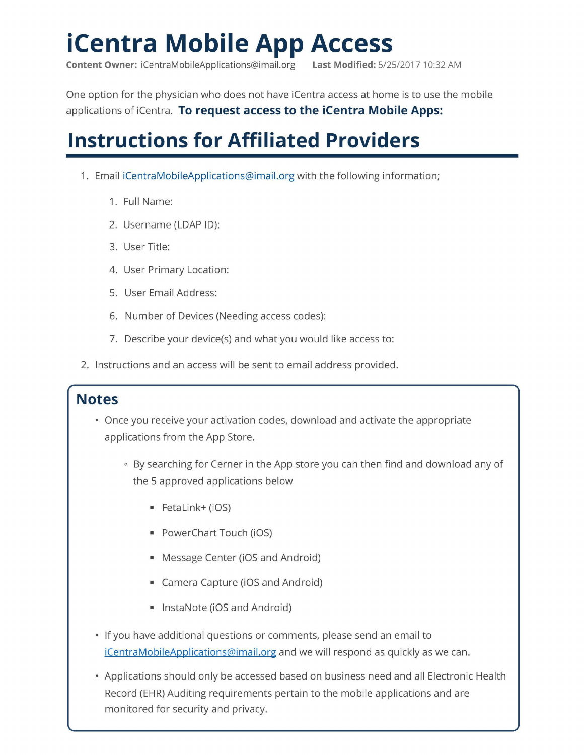# **iCentra Mobile App Access**

**Content Owner:** iCentraMobileApplications@imail.org **Last Modified:** 5/25/2017 10:32 AM

One option for the physician who does not have iCentra access at home is to use the mobile applications of iCentra. **To request access to the iCentra Mobile Apps:** 

# **Instructions for Affiliated Providers**

- 1. Email iCentraMobileApplications@imail.org with the following information;
	- 1. Full Name:
	- 2. Username (LDAP ID):
	- 3. User Title:
	- 4. User Primary Location:
	- 5. User Email Address:
	- 6. Number of Devices (Needing access codes):
	- 7. Describe your device(s) and what you would like access to:
- 2. Instructions and an access will be sent to email address provided.

# **Notes**

- Once you receive your activation codes, download and activate the appropriate applications from the App Store.
	- . By searching for Cerner in the App store you can then find and download any of the 5 approved applications below
		- Fetalink+ (iOS)
		- PowerChart Touch (iOS)
		- Message Center (iOS and Android)
		- Camera Capture (iOS and Android)
		- lnstaNote (iOS and Android)
- If you have additional questions or comments, please send an email to iCentraMobileApplications@imail.org and we will respond as quickly as we can.
- Applications should only be accessed based on business need and all Electronic Health Record (EHR) Auditing requirements pertain to the mobile applications and are monitored for security and privacy.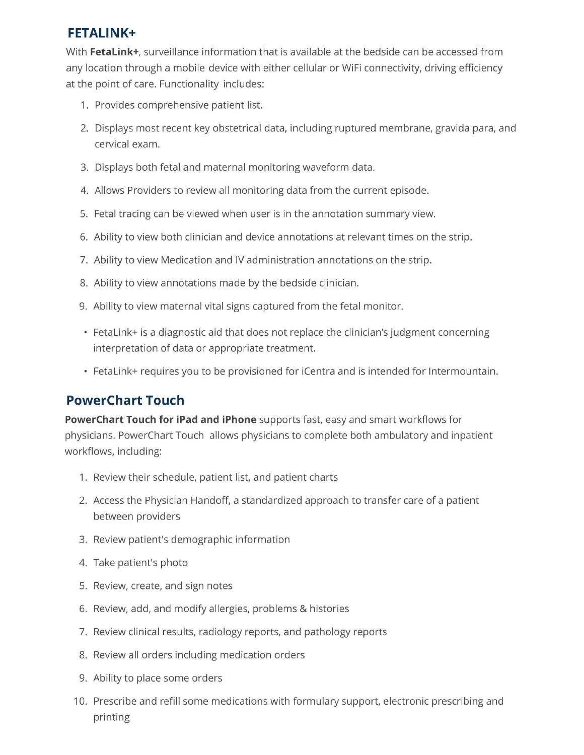## **FETALINK+**

With **Fetalink+,** surveillance information that is available at the bedside can be accessed from any location through a mobile device with either cellular or WiFi connectivity, driving efficiency at the point of care. Functionality includes:

- 1. Provides comprehensive patient list.
- 2. Displays most recent key obstetrical data, including ruptured membrane, gravida para, and cervical exam.
- 3. Displays both fetal and maternal monitoring waveform data.
- 4. Allows Providers to review all monitoring data from the current episode.
- 5. Fetal tracing can be viewed when user is in the annotation summary view.
- 6. Ability to view both clinician and device annotations at relevant times on the strip.
- 7. Ability to view Medication and IV administration annotations on the strip.
- 8. Ability to view annotations made by the bedside clinician.
- 9. Ability to view maternal vital signs captured from the fetal monitor.
- Feta Link+ is a diagnostic aid that does not replace the clinician's judgment concerning interpretation of data or appropriate treatment.
- Fetalink+ requires you to be provisioned for iCentra and is intended for lntermountain.

# **PowerChart Touch**

**PowerChart Touch for iPad and iPhone** supports fast, easy and smart workflows for physicians. PowerChart Touch allows physicians to complete both ambulatory and inpatient workflows, including:

- 1. Review their schedule, patient list, and patient charts
- 2. Access the Physician Handoff, a standardized approach to transfer care of a patient between providers
- 3. Review patient's demographic information
- 4. Take patient's photo
- 5. Review, create, and sign notes
- 6. Review, add, and modify allergies, problems & histories
- 7. Review clinical results, radiology reports, and pathology reports
- 8. Review all orders including medication orders
- 9. Ability to place some orders
- 10. Prescribe and refill some medications with formulary support, electronic prescribing and printing